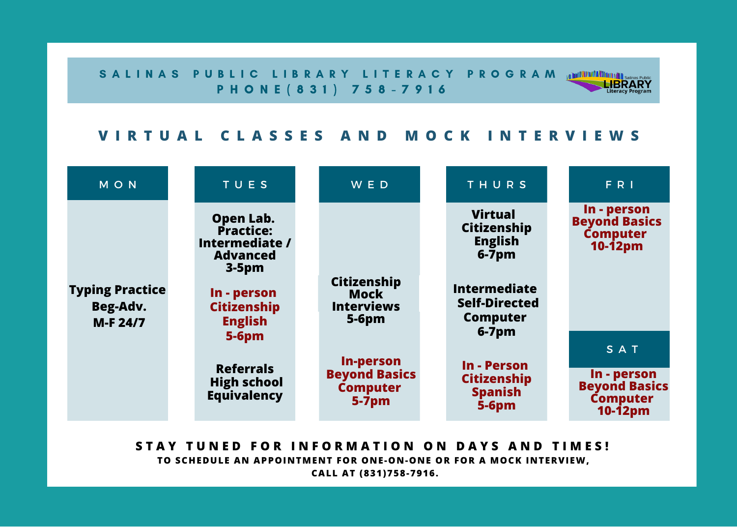S A L I N A S PUBLIC LIBRARY LITERACY PROGRAM ANTIVALORIES **LIBRARY** P H O N E ( 8 3 1 ) 7 5 8 - 7 9 1 6

## VIRTUAL CLASSES AND MOCK INTERVIEWS

**Literacy Pro** 

| MON                                            | TUES                                                                   | <b>WED</b>                                          | THURS                                                                     | F R                                                                 |
|------------------------------------------------|------------------------------------------------------------------------|-----------------------------------------------------|---------------------------------------------------------------------------|---------------------------------------------------------------------|
|                                                | Open Lab.<br>Practice:<br>Intermediate /<br><b>Advanced</b><br>$3-5pm$ |                                                     | <b>Virtual</b><br>Citizenship<br><b>English</b><br>$6-7pm$                | In - person<br><b>Beyond Basics</b><br>Computer<br>$10-12pm$        |
| <b>Typing Practice</b><br>Beg-Adv.<br>M-F 24/7 | In - person<br><b>Citizenship</b><br><b>English</b>                    | Citizenship<br>Mock<br><b>Interviews</b><br>$5-6pm$ | <b>Intermediate</b><br><b>Self-Directed</b><br><b>Computer</b><br>$6-7pm$ |                                                                     |
|                                                | $5-6pm$                                                                | In-person                                           |                                                                           | SAT                                                                 |
|                                                | <b>Referrals</b><br><b>High school</b><br><b>Equivalency</b>           | <b>Beyond Basics</b><br><b>Computer</b><br>$5-7pm$  | In - Person<br><b>Citizenship</b><br><b>Spanish</b><br>$5-6pm$            | In - person<br><b>Beyond Basics</b><br><b>Computer</b><br>$10-12pm$ |

STAY TUNED FOR INFORMATION ON DAYS AND TIMES! **TO SCHEDULE AN APPOINTMENT FOR ONE-ON-ONE OR FOR A MOCK INTERVIEW, CALL AT (831)758-7916.**